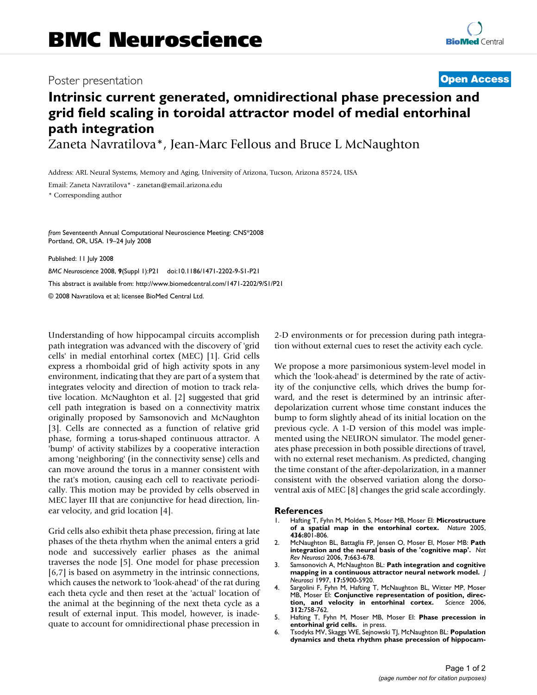## Poster presentation **Contract Contract Contract Contract Contract Contract Contract Contract Contract Contract Contract Contract Contract Contract Contract Contract Contract Contract Contract Contract Contract Contract Con**

## **Intrinsic current generated, omnidirectional phase precession and grid field scaling in toroidal attractor model of medial entorhinal path integration**

Zaneta Navratilova\*, Jean-Marc Fellous and Bruce L McNaughton

Address: ARL Neural Systems, Memory and Aging, University of Arizona, Tucson, Arizona 85724, USA

Email: Zaneta Navratilova\* - zanetan@email.arizona.edu

\* Corresponding author

*from* Seventeenth Annual Computational Neuroscience Meeting: CNS\*2008 Portland, OR, USA. 19–24 July 2008

Published: 11 July 2008

*BMC Neuroscience* 2008, **9**(Suppl 1):P21 doi:10.1186/1471-2202-9-S1-P21 [This abstract is available from: http://www.biomedcentral.com/1471-2202/9/S1/P21](http://www.biomedcentral.com/1471-2202/9/S1/P21) © 2008 Navratilova et al; licensee BioMed Central Ltd.

Understanding of how hippocampal circuits accomplish path integration was advanced with the discovery of 'grid cells' in medial entorhinal cortex (MEC) [1]. Grid cells express a rhomboidal grid of high activity spots in any environment, indicating that they are part of a system that integrates velocity and direction of motion to track relative location. McNaughton et al. [2] suggested that grid cell path integration is based on a connectivity matrix originally proposed by Samsonovich and McNaughton [3]. Cells are connected as a function of relative grid phase, forming a torus-shaped continuous attractor. A 'bump' of activity stabilizes by a cooperative interaction among 'neighboring' (in the connectivity sense) cells and can move around the torus in a manner consistent with the rat's motion, causing each cell to reactivate periodically. This motion may be provided by cells observed in MEC layer III that are conjunctive for head direction, linear velocity, and grid location [4].

Grid cells also exhibit theta phase precession, firing at late phases of the theta rhythm when the animal enters a grid node and successively earlier phases as the animal traverses the node [5]. One model for phase precession [6,7] is based on asymmetry in the intrinsic connections, which causes the network to 'look-ahead' of the rat during each theta cycle and then reset at the 'actual' location of the animal at the beginning of the next theta cycle as a result of external input. This model, however, is inadequate to account for omnidirectional phase precession in 2-D environments or for precession during path integration without external cues to reset the activity each cycle.

We propose a more parsimonious system-level model in which the 'look-ahead' is determined by the rate of activity of the conjunctive cells, which drives the bump forward, and the reset is determined by an intrinsic afterdepolarization current whose time constant induces the bump to form slightly ahead of its initial location on the previous cycle. A 1-D version of this model was implemented using the NEURON simulator. The model generates phase precession in both possible directions of travel, with no external reset mechanism. As predicted, changing the time constant of the after-depolarization, in a manner consistent with the observed variation along the dorsoventral axis of MEC [8] changes the grid scale accordingly.

## **References**

- 1. Hafting T, Fyhn M, Molden S, Moser MB, Moser EI: **[Microstructure](http://www.ncbi.nlm.nih.gov/entrez/query.fcgi?cmd=Retrieve&db=PubMed&dopt=Abstract&list_uids=15965463) [of a spatial map in the entorhinal cortex.](http://www.ncbi.nlm.nih.gov/entrez/query.fcgi?cmd=Retrieve&db=PubMed&dopt=Abstract&list_uids=15965463)** *Nature* 2005, **436:**801-806.
- 2. McNaughton BL, Battaglia FP, Jensen O, Moser EI, Moser MB: **[Path](http://www.ncbi.nlm.nih.gov/entrez/query.fcgi?cmd=Retrieve&db=PubMed&dopt=Abstract&list_uids=16858394) [integration and the neural basis of the 'cognitive map'.](http://www.ncbi.nlm.nih.gov/entrez/query.fcgi?cmd=Retrieve&db=PubMed&dopt=Abstract&list_uids=16858394)** *Nat Rev Neurosci* 2006, **7:**663-678.
- 3. Samsonovich A, McNaughton BL: **[Path integration and cognitive](http://www.ncbi.nlm.nih.gov/entrez/query.fcgi?cmd=Retrieve&db=PubMed&dopt=Abstract&list_uids=9221787) [mapping in a continuous attractor neural network model.](http://www.ncbi.nlm.nih.gov/entrez/query.fcgi?cmd=Retrieve&db=PubMed&dopt=Abstract&list_uids=9221787)** *J Neurosci* 1997, **17:**5900-5920.
- 4. Sargolini F, Fyhn M, Hafting T, McNaughton BL, Witter MP, Moser MB, Moser El: **Conjunctive representation of position, direction, and velocity in entorhinal cortex.** Science 2006, [tion, and velocity in entorhinal cortex.](http://www.ncbi.nlm.nih.gov/entrez/query.fcgi?cmd=Retrieve&db=PubMed&dopt=Abstract&list_uids=16675704) **312:**758-762.
- 5. Hafting T, Fyhn M, Moser MB, Moser EI: **Phase precession in entorhinal grid cells.** in press.
- 6. Tsodyks MV, Skaggs WE, Sejnowski TJ, McNaughton BL: **[Population](http://www.ncbi.nlm.nih.gov/entrez/query.fcgi?cmd=Retrieve&db=PubMed&dopt=Abstract&list_uids=8841826) [dynamics and theta rhythm phase precession of hippocam](http://www.ncbi.nlm.nih.gov/entrez/query.fcgi?cmd=Retrieve&db=PubMed&dopt=Abstract&list_uids=8841826)-**